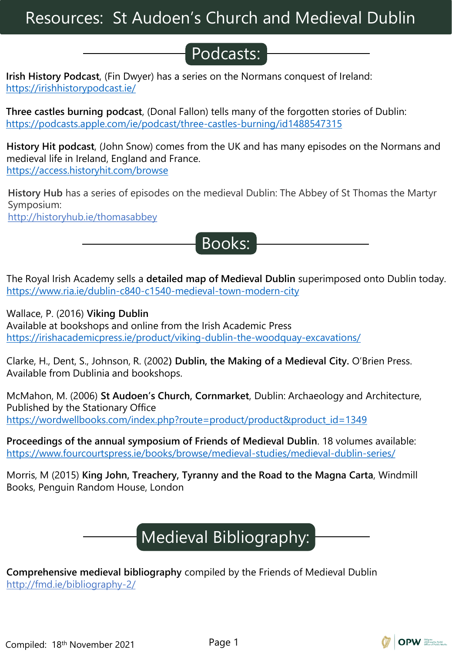#### Podcasts:

**Irish History Podcast**, (Fin Dwyer) has a series on the Normans conquest of Ireland: <https://irishhistorypodcast.ie/>

**Three castles burning podcast**, (Donal Fallon) tells many of the forgotten stories of Dublin: <https://podcasts.apple.com/ie/podcast/three-castles-burning/id1488547315>

**History Hit podcast**, (John Snow) comes from the UK and has many episodes on the Normans and medieval life in Ireland, England and France. <https://access.historyhit.com/browse>

**History Hub** has a series of episodes on the medieval Dublin: The Abbey of St Thomas the Martyr Symposium: <http://historyhub.ie/thomasabbey>

The Royal Irish Academy sells a **detailed map of Medieval Dublin** superimposed onto Dublin today. <https://www.ria.ie/dublin-c840-c1540-medieval-town-modern-city>

Books:

Wallace, P. (2016) **Viking Dublin** Available at bookshops and online from the Irish Academic Press <https://irishacademicpress.ie/product/viking-dublin-the-woodquay-excavations/>

Clarke, H., Dent, S., Johnson, R. (2002**) Dublin, the Making of a Medieval City.** O'Brien Press. Available from Dublinia and bookshops.

McMahon, M. (2006) **St Audoen's Church, Cornmarket**, Dublin: Archaeology and Architecture, Published by the Stationary Office [https://wordwellbooks.com/index.php?route=product/product&product\\_id=1349](https://wordwellbooks.com/index.php?route=product/product&product_id=1349)

**Proceedings of the annual symposium of Friends of Medieval Dublin**. 18 volumes available: <https://www.fourcourtspress.ie/books/browse/medieval-studies/medieval-dublin-series/>

Morris, M (2015) **King John, Treachery, Tyranny and the Road to the Magna Carta**, Windmill Books, Penguin Random House, London

Medieval Bibliography:

**Comprehensive medieval bibliography** compiled by the Friends of Medieval Dublin <http://fmd.ie/bibliography-2/>

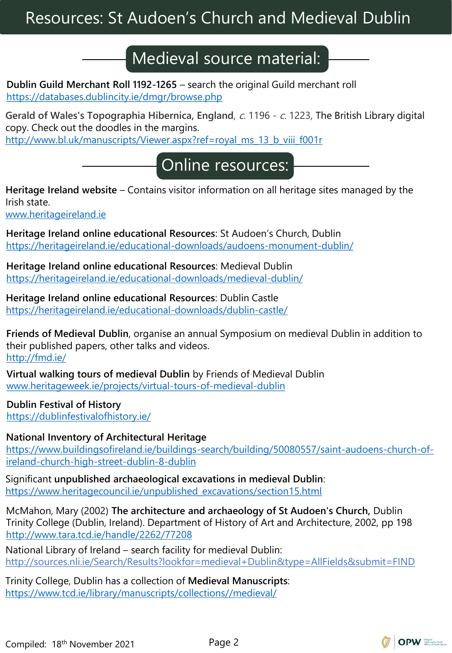## Resources: St Audoen's Church and Medieval Dublin

## Medieval source material:

**Dublin Guild Merchant Roll 1192-1265** – search the original Guild merchant roll <https://databases.dublincity.ie/dmgr/browse.php>

**Gerald of Wales's Topographia Hibernica, England**, c. 1196 - c. 1223, The British Library digital copy. Check out the doodles in the margins. [http://www.bl.uk/manuscripts/Viewer.aspx?ref=royal\\_ms\\_13\\_b\\_viii\\_f001r](http://www.bl.uk/manuscripts/Viewer.aspx?ref=royal_ms_13_b_viii_f001r)

### Online resources:

**Heritage Ireland website** – Contains visitor information on all heritage sites managed by the Irish state.

[www.heritageireland.ie](http://www.heritageireland.ie/)

**Heritage Ireland online educational Resources**: St Audoen's Church, Dublin <https://heritageireland.ie/educational-downloads/audoens-monument-dublin/>

**Heritage Ireland online educational Resources**: Medieval Dublin <https://heritageireland.ie/educational-downloads/medieval-dublin/>

**Heritage Ireland online educational Resources**: Dublin Castle <https://heritageireland.ie/educational-downloads/dublin-castle/>

**Friends of Medieval Dublin**, organise an annual Symposium on medieval Dublin in addition to their published papers, other talks and videos. <http://fmd.ie/>

**Virtual walking tours of medieval Dublin** by Friends of Medieval Dublin [www.heritageweek.ie/projects/virtual-tours-of-medieval-dublin](http://www.heritageweek.ie/projects/virtual-tours-of-medieval-dublin)

**Dublin Festival of History** <https://dublinfestivalofhistory.ie/>

**National Inventory of Architectural Heritage**

[https://www.buildingsofireland.ie/buildings-search/building/50080557/saint-audoens-church-of](https://www.buildingsofireland.ie/buildings-search/building/50080557/saint-audoens-church-of-ireland-church-high-street-dublin-8-dublin)ireland-church-high-street-dublin-8-dublin

Significant **unpublished archaeological excavations in medieval Dublin**: [https://www.heritagecouncil.ie/unpublished\\_excavations/section15.html](https://www.heritagecouncil.ie/unpublished_excavations/section15.html)

McMahon, Mary (2002) **The architecture and archaeology of St Audoen's Church,** Dublin Trinity College (Dublin, Ireland). Department of History of Art and Architecture, 2002, pp 198 <http://www.tara.tcd.ie/handle/2262/77208>

National Library of Ireland – search facility for medieval Dublin: <http://sources.nli.ie/Search/Results?lookfor=medieval+Dublin&type=AllFields&submit=FIND>

Trinity College, Dublin has a collection of **Medieval Manuscripts**: [https://www.tcd.ie/library/manuscripts/collections//medieval/](https://www.tcd.ie/library/manuscripts/collections/medieval/)

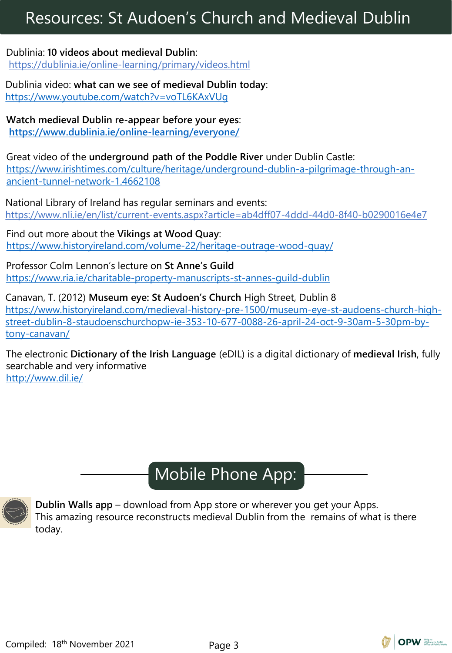## Resources: St Audoen's Church and Medieval Dublin

Dublinia: **10 videos about medieval Dublin**: <https://dublinia.ie/online-learning/primary/videos.html>

Dublinia video: **what can we see of medieval Dublin today**: <https://www.youtube.com/watch?v=voTL6KAxVUg>

**Watch medieval Dublin re-appear before your eyes**: **<https://www.dublinia.ie/online-learning/everyone/>**

Great video of the **underground path of the Poddle River** under Dublin Castle: [https://www.irishtimes.com/culture/heritage/underground-dublin-a-pilgrimage-through-an](https://www.irishtimes.com/culture/heritage/underground-dublin-a-pilgrimage-through-an-ancient-tunnel-network-1.4662108)ancient-tunnel-network-1.4662108

National Library of Ireland has regular seminars and events: <https://www.nli.ie/en/list/current-events.aspx?article=ab4dff07-4ddd-44d0-8f40-b0290016e4e7>

Find out more about the **Vikings at Wood Quay**: <https://www.historyireland.com/volume-22/heritage-outrage-wood-quay/>

Professor Colm Lennon's lecture on **St Anne's Guild** <https://www.ria.ie/charitable-property-manuscripts-st-annes-guild-dublin>

Canavan, T. (2012) **Museum eye: St Audoen's Church** High Street, Dublin 8 https://www.historyireland.com/medieval-history-pre-1500/museum-eye-st-audoens-church-high[street-dublin-8-staudoenschurchopw-ie-353-10-677-0088-26-april-24-oct-9-30am-5-30pm-by](https://www.historyireland.com/medieval-history-pre-1500/museum-eye-st-audoens-church-high-street-dublin-8-staudoenschurchopw-ie-353-10-677-0088-26-april-24-oct-9-30am-5-30pm-by-tony-canavan/)tony-canavan/

The electronic **Dictionary of the Irish Language** (eDIL) is a digital dictionary of **medieval Irish**, fully searchable and very informative <http://www.dil.ie/>

# Mobile Phone App:



**Dublin Walls app** – download from App store or wherever you get your Apps. This amazing resource reconstructs medieval Dublin from the remains of what is there today.

**OPW**